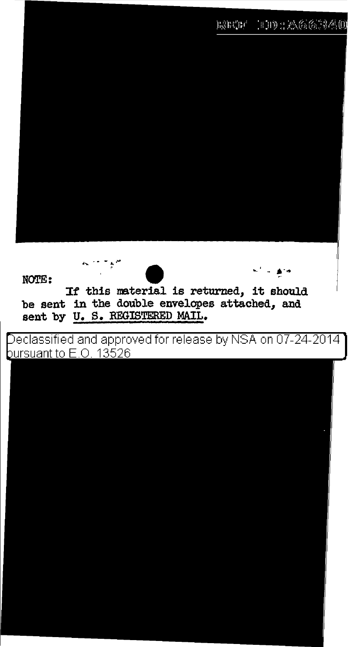







If this material is returned, it should be sent in the double envelopes attached, and sent by U. S. REGISTERED MAIL.

Declassified and approved for release by NSA on 07-24-2014 ] bursuant to E.O. 13526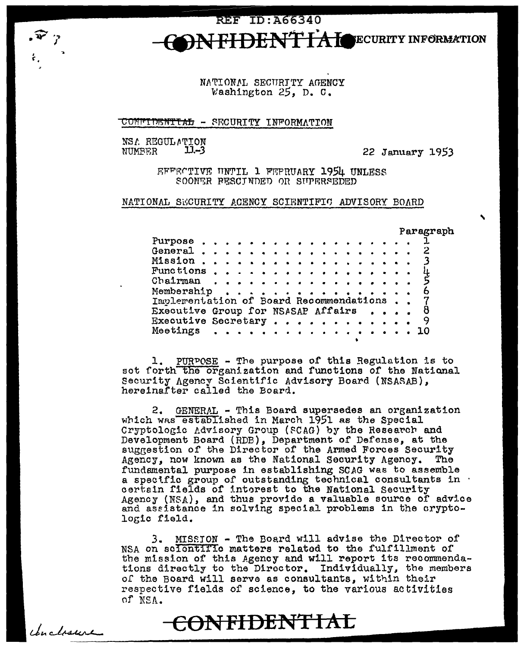**REF ID: A66340** FIDENT IA LOECURITY INFORMATION

> NATIONAL SECURITY AGENCY Washington  $25$ , D. C.

CONFIDENTIAL - SECURITY INFORMATION

NSA REGULATION  $11 - 3$ MIMBER

J

Conclosure

22 January 1953

EFFECTIVE UNTIL 1 FEPRUARY 1954 UNLESS SOONER PESCINDED OR SUPERSEDED

NATIONAL SECURITY ACENCY SCIENTIFIC ADVISORY BOARD

Paragraph

| Purpose <i>.</i>                        |  |  |  |  |   |  |  |  |  |     |  |
|-----------------------------------------|--|--|--|--|---|--|--|--|--|-----|--|
|                                         |  |  |  |  |   |  |  |  |  |     |  |
|                                         |  |  |  |  |   |  |  |  |  |     |  |
| Functions                               |  |  |  |  |   |  |  |  |  |     |  |
|                                         |  |  |  |  |   |  |  |  |  |     |  |
| Chairman                                |  |  |  |  |   |  |  |  |  |     |  |
| Membership                              |  |  |  |  | . |  |  |  |  | 6.  |  |
| Implementation of Board Recommendations |  |  |  |  |   |  |  |  |  |     |  |
|                                         |  |  |  |  |   |  |  |  |  |     |  |
| Executive Group for NSASAP Affairs      |  |  |  |  |   |  |  |  |  | 8.  |  |
|                                         |  |  |  |  |   |  |  |  |  | - 9 |  |
| Executive Secretary                     |  |  |  |  |   |  |  |  |  |     |  |
| Meetings                                |  |  |  |  |   |  |  |  |  | 10. |  |
|                                         |  |  |  |  |   |  |  |  |  |     |  |
|                                         |  |  |  |  |   |  |  |  |  |     |  |

1. PURPOSE - The purpose of this Regulation is to set forth the organization and functions of the National Security Agency Scientific Advisory Board (NSASAB), hereinafter called the Board.

2. GENERAL - This Board supersedes an organization which was established in March 1951 as the Special Cryptologic Advisory Group (SCAG) by the Research and Development Board (RDB), Department of Defense, at the suggestion of the Director of the Armed Forces Security Agency, now known as the National Security Agency. fundamental purpose in establishing SCAG was to assemble a specific group of outstanding technical consultants in certain fields of intorest to the National Security Agency (NSA), and thus provide a valuable source of advice and assistance in solving special problems in the cryptologic field.

MISSION - The Board will advise the Director of 3. NSA on scientific matters related to the fulfillment of the mission of this Agency and will report its recommendations directly to the Director. Individually, the members of the Board will serve as consultants, within their respective fields of science, to the various activities of NSA.

CONFIDENTIAL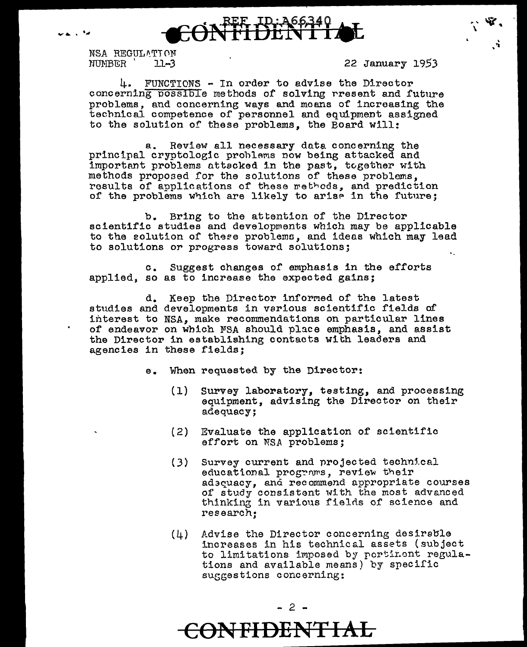



NSA REGULATION NUMBER 11-3 22 January 1953

 $\gamma$  . We are a

' • 'll

4. FUNCTIONS - In order to advise the Director concerning possible methods of solving rresent and future problems, and concerning ways and moans of increasing the technical competence of personnel and equipment assigned to the solution of these problems, the Board will:

a. Review all necessary dnta concerning the principal cryptologic problems now being attacked and important problems attacked in the past, together with methods proposed for the solut1-ons of these problems, results of applications of these rethods, and prediction of the problems which are likely to ariae in the future;

b. Bring to the attention of the Director scientific studies and developments which may be applicable to the solution of these problems, and ideas which may lead to solutions or progress toward solutions;

c. Suggest changes of emphasis in the efforts applied, so as to increase the expected gains;

d. Keep the Director informed of the latest studies and developments in various scientific fields of interest to NSA, make recommendations on particular lines of endeavor on which FSA should place emphasis, and assist the Director in establishing contacts wich leaders and agencies in these fields;

- e. When requested by the Director:
	- (1) Survey laboratory, testing, and processing equipment, advising the Director on their adequacy;
	- (2) Evaluate the application of scientific effort on NSA problems;
	- $(3)$ Survey current and projected technical educational programs, review their adscuacy, and recommend appropriate courses of study consistent with the most advanced thinking in various fields of science and research;
	- (4) Advise the Director concerning desirable increases in his technical assets (subject to limitations imposed by portinent regulations and available means) by specific suggestions concerning:

**CONFIDENTIAL**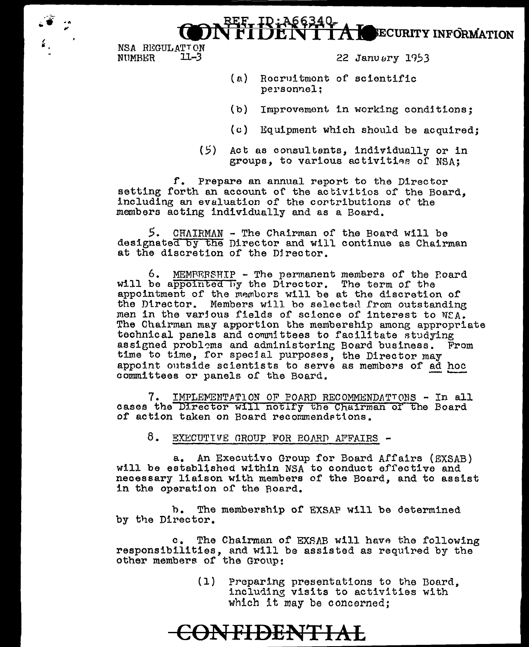



NSA REGULATION  $11 - 3$ NUMBER

22 Januery 1953

- (a) Rocruitmont of scientific personnel:
- (b) Improvement in working conditions:
- (c) Equipment which should be acquired;
- Act as consultents, individually or in  $(5)$ groups, to various activities of NSA:

f. Prepare an annual report to the Director setting forth an account of the activities of the Board. including an evaluation of the contributions of the members acting individually and as a Board.

5. CHAIRMAN - The Chairman of the Board will be designated by the Director and will continue as Chairman at the discretion of the Director.

6. MEMPERSHIP - The permanent members of the Poard will be appointed by the Director. The term of the appointment of the members will be at the discretion of the Director. Members will be selected from outstanding men in the various fields of science of interest to NCA. The Chairman may apportion the membership among appropriate technical panels and committees to facilitate studying assigned problems and administering Board business. From time to time, for special purposes, the Director may appoint outside scientists to serve as members of ad hoc committees or panels of the Board.

IMPLEMENTATION OF POARD RECOMMENDATIONS - In all 7. cases the Director will notify the Chairman of the Board of action taken on Board recommendations.

8. EXECUTIVE GROUP FOR BOARD AFFAIRS -

a. An Executive Group for Board Affairs (EXSAB) will be established within NSA to conduct effective and necessary liaison with members of the Board, and to assist in the operation of the Board.

b. The membership of EXSAP will be determined by the Director.

 $c_{\bullet}$ The Chairman of EXSAB will have the following responsibilities, and will be assisted as required by the other members of the Group:

> $(1)$ Preparing presentations to the Board, including visits to activities with which it may be concerned:

## **CONFIDENTIAL**